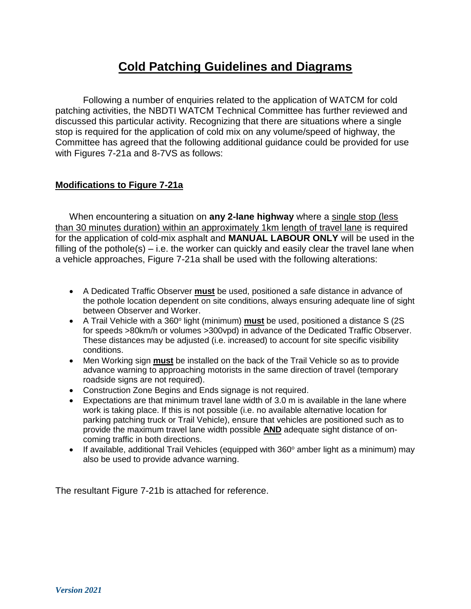## **Cold Patching Guidelines and Diagrams**

Following a number of enquiries related to the application of WATCM for cold patching activities, the NBDTI WATCM Technical Committee has further reviewed and discussed this particular activity. Recognizing that there are situations where a single stop is required for the application of cold mix on any volume/speed of highway, the Committee has agreed that the following additional guidance could be provided for use with Figures 7-21a and 8-7VS as follows:

### **Modifications to Figure 7-21a**

When encountering a situation on **any 2-lane highway** where a single stop (less than 30 minutes duration) within an approximately 1km length of travel lane is required for the application of cold-mix asphalt and **MANUAL LABOUR ONLY** will be used in the filling of the pothole(s) – i.e. the worker can quickly and easily clear the travel lane when a vehicle approaches, Figure 7-21a shall be used with the following alterations:

- A Dedicated Traffic Observer **must** be used, positioned a safe distance in advance of the pothole location dependent on site conditions, always ensuring adequate line of sight between Observer and Worker.
- A Trail Vehicle with a 360° light (minimum) **must** be used, positioned a distance S (2S for speeds >80km/h or volumes >300vpd) in advance of the Dedicated Traffic Observer. These distances may be adjusted (i.e. increased) to account for site specific visibility conditions.
- Men Working sign **must** be installed on the back of the Trail Vehicle so as to provide advance warning to approaching motorists in the same direction of travel (temporary roadside signs are not required).
- Construction Zone Begins and Ends signage is not required.
- Expectations are that minimum travel lane width of 3.0 m is available in the lane where work is taking place. If this is not possible (i.e. no available alternative location for parking patching truck or Trail Vehicle), ensure that vehicles are positioned such as to provide the maximum travel lane width possible **AND** adequate sight distance of oncoming traffic in both directions.
- If available, additional Trail Vehicles (equipped with  $360^\circ$  amber light as a minimum) may also be used to provide advance warning.

The resultant Figure 7-21b is attached for reference.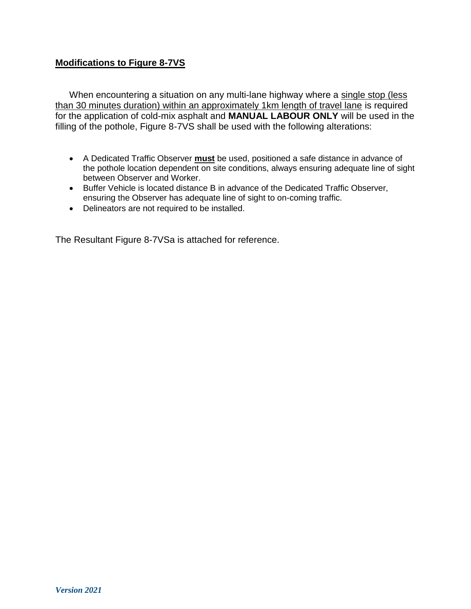## **Modifications to Figure 8-7VS**

When encountering a situation on any multi-lane highway where a single stop (less than 30 minutes duration) within an approximately 1km length of travel lane is required for the application of cold-mix asphalt and **MANUAL LABOUR ONLY** will be used in the filling of the pothole, Figure 8-7VS shall be used with the following alterations:

- A Dedicated Traffic Observer **must** be used, positioned a safe distance in advance of the pothole location dependent on site conditions, always ensuring adequate line of sight between Observer and Worker.
- Buffer Vehicle is located distance B in advance of the Dedicated Traffic Observer, ensuring the Observer has adequate line of sight to on-coming traffic.
- Delineators are not required to be installed.

The Resultant Figure 8-7VSa is attached for reference.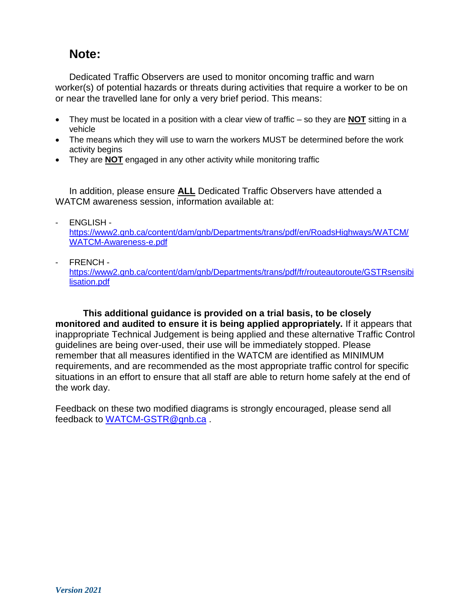# **Note:**

Dedicated Traffic Observers are used to monitor oncoming traffic and warn worker(s) of potential hazards or threats during activities that require a worker to be on or near the travelled lane for only a very brief period. This means:

- They must be located in a position with a clear view of traffic so they are **NOT** sitting in a vehicle
- The means which they will use to warn the workers MUST be determined before the work activity begins
- They are **NOT** engaged in any other activity while monitoring traffic

In addition, please ensure **ALL** Dedicated Traffic Observers have attended a WATCM awareness session, information available at:

- ENGLISH -

[https://www2.gnb.ca/content/dam/gnb/Departments/trans/pdf/en/RoadsHighways/WATCM/](https://www2.gnb.ca/content/dam/gnb/Departments/trans/pdf/en/RoadsHighways/WATCM/WATCM-Awareness-e.pdf) [WATCM-Awareness-e.pdf](https://www2.gnb.ca/content/dam/gnb/Departments/trans/pdf/en/RoadsHighways/WATCM/WATCM-Awareness-e.pdf)

- FRENCH -

[https://www2.gnb.ca/content/dam/gnb/Departments/trans/pdf/fr/routeautoroute/GSTRsensibi](https://www2.gnb.ca/content/dam/gnb/Departments/trans/pdf/fr/routeautoroute/GSTRsensibilisation.pdf) [lisation.pdf](https://www2.gnb.ca/content/dam/gnb/Departments/trans/pdf/fr/routeautoroute/GSTRsensibilisation.pdf)

**This additional guidance is provided on a trial basis, to be closely monitored and audited to ensure it is being applied appropriately.** If it appears that inappropriate Technical Judgement is being applied and these alternative Traffic Control guidelines are being over-used, their use will be immediately stopped. Please remember that all measures identified in the WATCM are identified as MINIMUM requirements, and are recommended as the most appropriate traffic control for specific situations in an effort to ensure that all staff are able to return home safely at the end of the work day.

Feedback on these two modified diagrams is strongly encouraged, please send all feedback to [WATCM-GSTR@gnb.ca](mailto:WATCM-GSTR@gnb.ca) .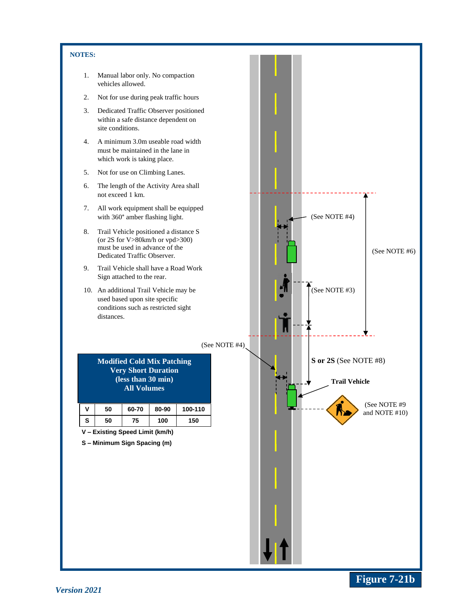#### **NOTES:**

- 1. Manual labor only. No compaction vehicles allowed.
- 2. Not for use during peak traffic hours
- 3. Dedicated Traffic Observer positioned within a safe distance dependent on site conditions.
- 4. A minimum 3.0m useable road width must be maintained in the lane in which work is taking place.
- 5. Not for use on Climbing Lanes.
- 6. The length of the Activity Area shall not exceed 1 km.
- 7. All work equipment shall be equipped with 360° amber flashing light.
- 8. Trail Vehicle positioned a distance S (or 2S for V>80km/h or vpd>300) must be used in advance of the Dedicated Traffic Observer.
- 9. Trail Vehicle shall have a Road Work Sign attached to the rear.
- 10. An additional Trail Vehicle may be used based upon site specific conditions such as restricted sight distances.

(See NOTE #4)

**Modified Cold Mix Patching Very Short Duration (less than 30 min) All Volumes**

| v | 50 | 60-70 | 80-90 | 100-110 |
|---|----|-------|-------|---------|
| S | 50 | 75    | 100   | 150     |

**V – Existing Speed Limit (km/h)**

**S – Minimum Sign Spacing (m)**



**Figure 7-21b**